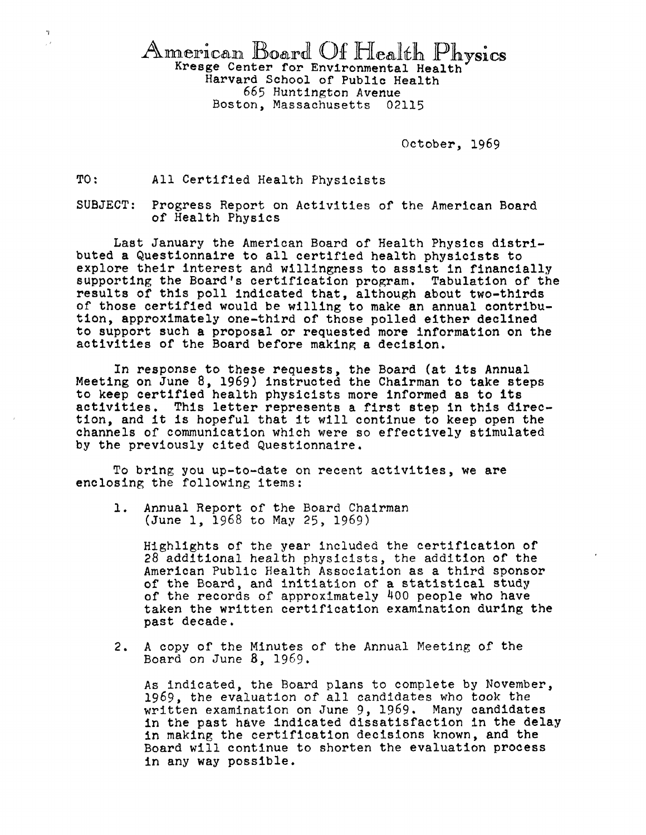American Board Of Health Physics<br>Kresge Center for Environmental Health Harvard School of Public Health 665 Huntington Avenue Boston, Massachusetts 02115

October, 1969

TO: All Certified Health Physicists

 $\frac{1}{2}$  $\frac{1}{2}$ 

> SUBJECT: Progress Report on Activities of the American Board of Health Physics

Last January the American Board of Health Physics distributed a Questionnaire to all certified health physicists to supporting the Board's certification program. Tabulation of the results of this poll indicated that, although about two-thirds of those certified would be willing to make an annual contribution, approximately one-third of those polled either declined to support such a proposal or requested more information on the activities of the Board before making a decision.

In response to these requests, *the* Board (at its Annual Meeting on June 8, 1969) instructed the Chairman to take steps to keep certified health physicists more informed as to its activities. This letter represents a first step in this direction, and it is hopeful that it will continue to keep open the channels of communication which were so effectively stimulated by the previously cited Questionnaire.

To bring you up-to-date on recent activities, we are enclosing the following items:

1. Annual Report of the Board Chairman (June 1, 1968 to May 25, 1969)

Highlights of the year included the certification of 28 additional health physicists, the addition of the American Public Health Association as a third sponsor of the Board, and initiation of a statistical study of the records of approximately  $400$  people who have taken the written certification examination during the past decade.

2. A copy of the Minutes of the Annual Meeting of the Board on June 8, 1969.

As indicated, the Board plans to complete by November, 1969, the evaluation of all candidates who took the written examination on June 9, 1969. Many candidates in the past have indicated dissatisfaction in the delay in making the certification decisions known, and the Board will continue to shorten the evaluation process in any way possible.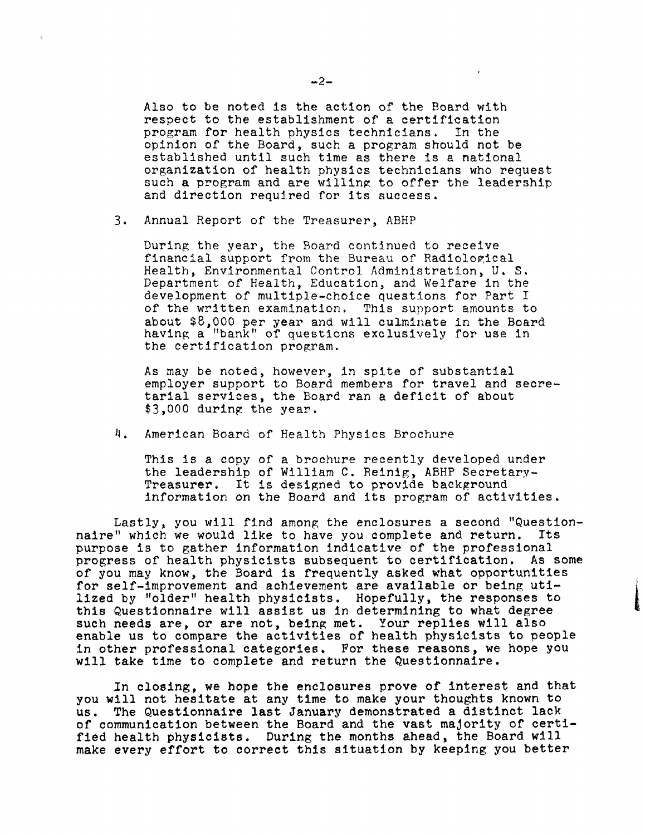Also to be noted is the action of the Board with respect to the establishment of a certification program for health physics technicians. In the opinion of the Board, such a program should not be established until such time as there is a national organization of health physics technicians who request such a program and are willing to offer the leadership and direction required for its success.

3. Annual Report of the Treasurer, ABHP

During the year, the Board continued to receive financial support from the Bureau of Radiological Health, Environmental Control Administration, U.S. Department of Health, Education, and Welfare in the development of multiple-choice questions for Part I of the written examination. This support amounts to about \$8,000 per year and will culminate in the Board having a "bank" of questions exclusively for use in the certification program.

As may be noted, however, in spite of substantial employer support to Board members for travel and secretarial services, the Board ran a deficit of about  $$3,000$  during the year.

4. American Board of Health Physics Brochure

This is a copy of a brochure recently developed under the leadership of William C. Reinig, ABHP Secretary-Treasurer. It is designed to provide background information on the Board and its program of activities.

1

Lastly, you will find among the enclosures a second "Question-<br>" which we would like to have you complete and return. Its naire" which we would like to have you complete and return. purpose is to gather information indicative of the professional progress of health physicists subsequent to certification. As some of you may know, the Board is frequently asked what opportunities for self-improvement and achievement are available or being utilized by "older" health physicists. Hopefully, the responses to this Questionnaire will assist us in determining to what degree such needs are, or are not, being met. Your replies will also enable us to compare the activities of health physicists to people in other professional categories. For these reasons, we hope you will take time to complete and return the Questionnaire.

In closing, we hope the enclosures prove of interest and that you will not hesitate at any time to make your thoughts known to us. The Questionnaire last January demonstrated a distinct lack of communication between the Board and the vast majority of certified health physicists. During the months ahead, the Board will make every effort to correct this situation by keeping you better